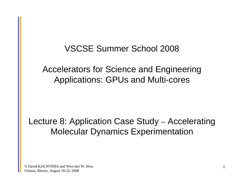#### VSCSE Summer School 2008

#### Accelerators for Science and Engineering Applications: GPUs and Multi-cores

#### Lecture 8: Application Case Study – Accelerating Molecular Dynamics Experimentation

© David Kirk/NVIDIA and Wen-mei W. Hwu Urbana, Illinois, August 18-22, 2008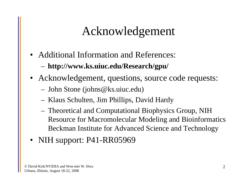### Acknowledgement

- Additional Information and References: **http://www.ks.uiuc.edu/Research/gpu/**
- Acknowledgement, questions, source code requests:
	- John Stone (johns@ks.uiuc.edu)
	- Klaus Schulten, Jim Phillips, David Hardy
	- Theoretical and Computational Biophysics Group, NIH Resource for Macromolecular Modeling and Bioinformatics Beckman Institute for Advanced Science and Technology
- NIH support: P41-RR05969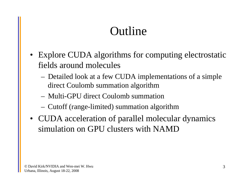## Outline

- Explore CUDA algorithms for computing electrostatic fields around molecules
	- Detailed look at a few CUDA implementations of a simple direct Coulomb summation algorithm
	- Multi-GPU direct Coulomb summation
	- Cutoff (range-limited) summation algorithm
- CUDA acceleration of parallel molecular dynamics simulation on GPU clusters with NAMD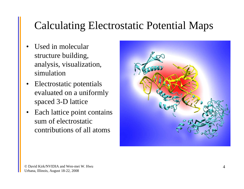### Calculating Electrostatic Potential Maps

- • Used in molecular structure building, analysis, visualization, simulation
- Electrostatic potentials evaluated on a uniformly spaced 3-D lattice
- • Each lattice point contains sum of electrostatic contributions of all atoms

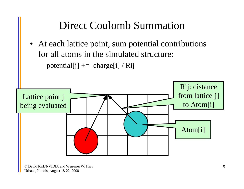### Direct Coulomb Summation

• At each lattice point, sum potential contributions for all atoms in the simulated structure: potential[j]  $+=$  charge[i] / Rij

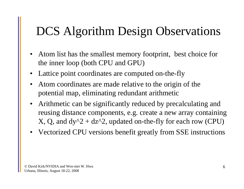### DCS Algorithm Design Observations

- Atom list has the smallest memory footprint, best choice for the inner loop (both CPU and GPU)
- Lattice point coordinates are computed on-the-fly
- $\bullet$  Atom coordinates are made relative to the origin of the potential map, eliminating redundant arithmetic
- • Arithmetic can be significantly reduced by precalculating and reusing distance components, e.g. create a new array containing X, Q, and  $dy^2 + dz^2$ , updated on-the-fly for each row (CPU)
- Vectorized CPU versions benefit greatly from SSE instructions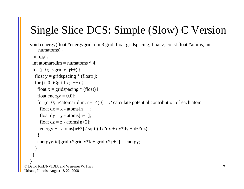### Single Slice DCS: Simple (Slow) C Version

```
© David Kirk/NVIDIA and Wen-mei W. Hwuvoid cenergy(float *energygrid, dim3 grid, float gridspacing, float z, const float *atoms, int
       numatoms) {
    int i,j,n;int atomarrdim = numatoms * 4;
    for (j=0; j<grid.y; j++) {
     float y = \text{gridspaceing} * (\text{float}) j;
     for (i=0; i <grid.x; i++) {
       float x = \text{gridspaceing} * (\text{float}) i;float energy = 0.0f;
       for (n=0; n<atomarrdim; n+=4) { // calculate potential contribution of each atom
        float dx = x - \text{atoms}[n];
        float dy = y - atoms[n+1];
        float dz = z - \text{atoms}[n+2];
        energy += atoms[n+3] / sqrtf(dx*dx + dy*dy + dz*dz);
       }
       energygrid[grid.x*grid.y*k + grid.x*j + i] = energy;
     }
    }
   }
```
Urbana, Illinois, August 18-22, 2008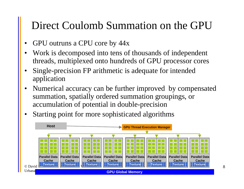### Direct Coulomb Summation on the GPU

- •GPU outruns a CPU core by 44x
- • Work is decomposed into tens of thousands of independent threads, multiplexed onto hundreds of GPU processor cores
- • Single-precision FP arithmetic is adequate for intended application
- • Numerical accuracy can be further improved by compensated summation, spatially ordered summation groupings, or accumulation of potential in double-precision
- •Starting point for more sophisticated algorithms

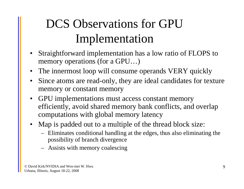# DCS Observations for GPU Implementation

- Straightforward implementation has a low ratio of FLOPS to memory operations (for a GPU…)
- The innermost loop will consume operands VERY quickly
- • Since atoms are read-only, they are ideal candidates for texture memory or constant memory
- GPU implementations must access constant memory efficiently, avoid shared memory bank conflicts, and overlap computations with global memory latency
- • Map is padded out to a multiple of the thread block size:
	- Eliminates conditional handling at the edges, thus also eliminating the possibility of branch divergence
	- Assists with memory coalescing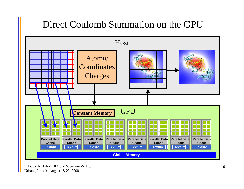### Direct Coulomb Summation on the GPU



© David Kirk/NVIDIA and Wen-mei W. HwuUrbana, Illinois, August 18-22, 2008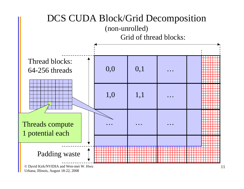

Urbana, Illinois, August 18-22, 2008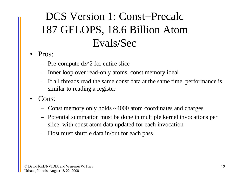### DCS Version 1: Const+Precalc 187 GFLOPS, 18.6 Billion Atom Evals/Sec

#### •Pros:

- Pre-compute dz^2 for entire slice
- Inner loop over read-only atoms, const memory ideal
- If all threads read the same const data at the same time, performance is similar to reading a register
- • Cons:
	- Const memory only holds ~4000 atom coordinates and charges
	- Potential summation must be done in multiple kernel invocations per slice, with const atom data updated for each invocation
	- Host must shuffle data in/out for each pass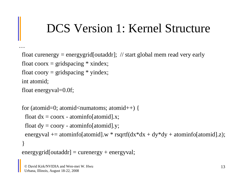### DCS Version 1: Kernel Structure

```
float curenergy = energygrid[outaddr]; \frac{1}{1} start global mem read very early
float coorx = gridspacing * xindex;
float coory = gridspacing * yindex;
int atomid;
float energyval=0.0f;
```

```
for (atomid=0; atomid<numatoms; atomid++) {
 float dx = coorx - atominfo[atomid].x;
 float dy = coory - atominfo[atomid].y;
 energyval += atominfo[atomid].w * rsqrtf(dx^*dx + dy^*dy + atominfo[atomid].z);
}
energygrid[outaddr] = currency + energyval;
```
…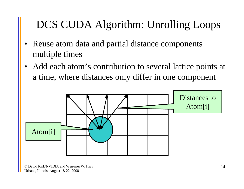### DCS CUDA Algorithm: Unrolling Loops

- • Reuse atom data and partial distance components multiple times
- • Add each atom's contribution to several lattice points at a time, where distances only differ in one component

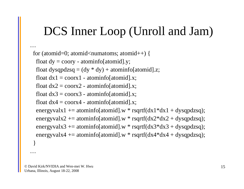### DCS Inner Loop (Unroll and Jam)

```
for (atomid=0; atomid<numatoms; atomid++) {
 float dy = coory - atominfo[atomid].y;
 float dysqpdzsq = (dy * dy) + atominfo[atomid].z;
 float dx1 = \text{coor}x1 - \text{atomic} atominfold x;
 float dx2 = \text{coor}x2 - \text{atomic} atominfo[atomid].x;
 float dx3 = \text{coor}x3 - \text{atomic} atominfo[atomid].x;
 float dx4 = coorx4 - atominfo[atomid].x;
 energyvalx1 += atominfo[atomid].w * rsqrtf(dx1*dx1 + dysqpdzsq);
 energyvalx2 += atominfo[atomid].w * rsqrtf(dx2*dx2 + dysqpdzsq);
 energyvalx3 += atominfo[atomid].w * rsqrtf(dx3*dx3 + dysqpdzsq);
 energyvalx4 += atominfo[atomid].w * rsqrtf(dx4*dx4 + dysqpdzsq);
}
```
…

…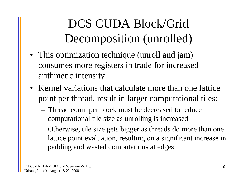# DCS CUDA Block/Grid Decomposition (unrolled)

- This optimization technique (unroll and jam) consumes more registers in trade for increased arithmetic intensity
- Kernel variations that calculate more than one lattice point per thread, result in larger computational tiles:
	- Thread count per block must be decreased to reduce computational tile size as unrolling is increased
	- Otherwise, tile size gets bigger as threads do more than one lattice point evaluation, resulting on a significant increase in padding and wasted computations at edges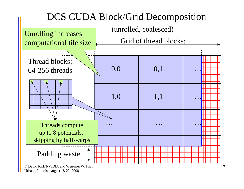#### DCS CUDA Block/Grid Decomposition



Urbana, Illinois, August 18-22, 2008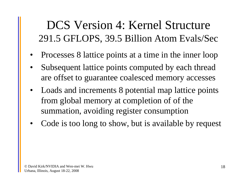### DCS Version 4: Kernel Structure 291.5 GFLOPS, 39.5 Billion Atom Evals/Sec

- Processes 8 lattice points at a time in the inner loop
- • Subsequent lattice points computed by each thread are offset to guarantee coalesced memory accesses
- Loads and increments 8 potential map lattice points from global memory at completion of of the summation, avoiding register consumption
- •Code is too long to show, but is available by request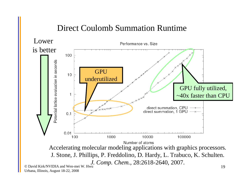#### Direct Coulomb Summation Runtime

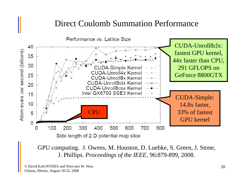#### Direct Coulomb Summation Performance



GPU computing. J. Owens, M. Houston, D. Luebke, S. Green, J. Stone, J. Phillips. *Proceedings of the IEEE*, 96:879-899, 2008.

© David Kirk/NVIDIA and Wen-mei W. HwuUrbana, Illinois, August 18-22, 2008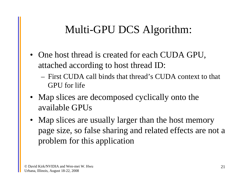### Multi-GPU DCS Algorithm:

- One host thread is created for each CUDA GPU, attached according to host thread ID:
	- First CUDA call binds that thread's CUDA context to that GPU for life
- Map slices are decomposed cyclically onto the available GPUs
- Map slices are usually larger than the host memory page size, so false sharing and related effects are not a problem for this application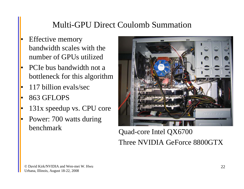#### Multi-GPU Direct Coulomb Summation

- • Effective memory bandwidth scales with the number of GPUs utilized
- • PCIe bus bandwidth not a bottleneck for this algorithm
- •117 billion evals/sec
- •863 GFLOPS
- •131x speedup vs. CPU core
- • Power: 700 watts during benchmark



#### Quad-core Intel QX6700 Three NVIDIA GeForce 8800GTX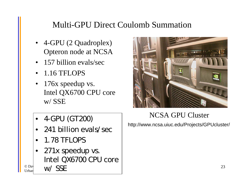#### Multi-GPU Direct Coulomb Summation

- 4-GPU (2 Quadroplex) Opteron node at NCSA
- 157 billion evals/sec
- $\bullet$ 1.16 TFLOPS
- $\bullet$  176x speedup vs. Intel QX6700 CPU core w/ SSE
- 4-GPU (GT200)  $\blacksquare$
- •241 billion evals/sec
- •1.78 TFLOPS
- $\circ$  David Kirk, No. Holen $\sim$  Mei Wen-mei Wen-mei Wen-mei Wen-mei Wen-mei Wen-mei Wen-mei Wen-mei Wen-mei Wen-mei Wen-mei Wen-mei Wen-mei Wen-mei Wen-mei Wen-mei Wen-mei Wen-mei Wen-mei Wen-mei Wen-mei Wen-mei Wen-mei We  $\frac{U_{\text{D}} U_{\text{D}}}{U_{\text{D}} U_{\text{D}}}$  W/ SSE • 271x speedup vs. Intel QX6700 CPU core



#### NCSA GPU Cluster

http://www.ncsa.uiuc.edu/Projects/GPUcluster/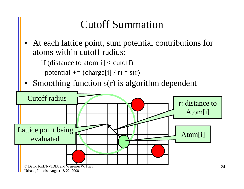### Cutoff Summation

• At each lattice point, sum potential contributions for atoms within cutoff radius:

if (distance to atom[i]  $\lt$  cutoff)

potential  $+=$  (charge[i] / r)  $*$  s(r)

•Smoothing function s(r) is algorithm dependent

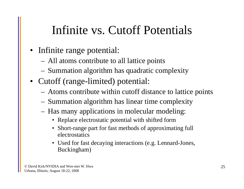### Infinite vs. Cutoff Potentials

- Infinite range potential:
	- All atoms contribute to all lattice points
	- Summation algorithm has quadratic complexity
- Cutoff (range-limited) potential:
	- Atoms contribute within cutoff distance to lattice points
	- Summation algorithm has linear time complexity
	- Has many applications in molecular modeling:
		- Replace electrostatic potential with shifted form
		- Short-range part for fast methods of approximating full electrostatics
		- Used for fast decaying interactions (e.g. Lennard-Jones, Buckingham)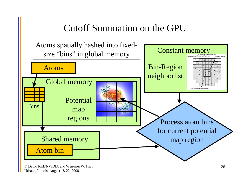#### Cutoff Summation on the GPU



© David Kirk/NVIDIA and Wen-mei W. HwuUrbana, Illinois, August 18-22, 2008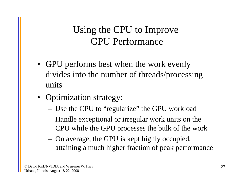### Using the CPU to Improve GPU Performance

- GPU performs best when the work evenly divides into the number of threads/processing units
- Optimization strategy:
	- Use the CPU to "regularize" the GPU workload
	- Handle exceptional or irregular work units on the CPU while the GPU processes the bulk of the work
	- On average, the GPU is kept highly occupied, attaining a much higher fraction of peak performance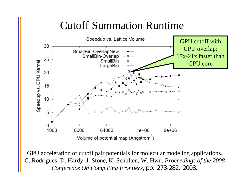### Cutoff Summation Runtime



Conference On Computing Frontiers, pp. 273-282, 2008. GPU acceleration of cutoff pair potentials for molecular modeling applications. C. Rodrigues, D. Hardy, J. Stone, K. Schulten, W. Hwu. *Proceedings of the 2008*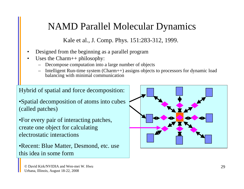#### NAMD Parallel Molecular Dynamics

Kale et al., J. Comp. Phys. 151:283-312, 1999.

- •Designed from the beginning as a parallel program
- • Uses the Charm++ philosophy:
	- Decompose computation into a large number of objects
	- Intelligent Run-time system (Charm++) assigns objects to processors for dynamic load balancing with minimal communication

Hybrid of spatial and force decomposition:

•Spatial decomposition of atoms into cubes (called patches)

•For every pair of interacting patches, create one object for calculating electrostatic interactions

•Recent: Blue Matter, Desmond, etc. use this idea in some form

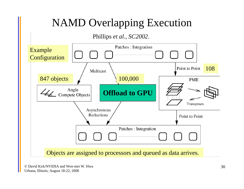### NAMD Overlapping Execution

#### Phillips *et al., SC2002*.

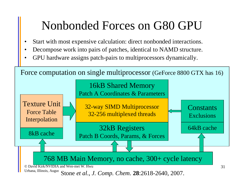### Nonbonded Forces on G80 GPU

- •Start with most expensive calculation: direct nonbonded interactions.
- •Decompose work into pairs of patches, identical to NAMD structure.
- •GPU hardware assigns patch-pairs to multiprocessors dynamically.

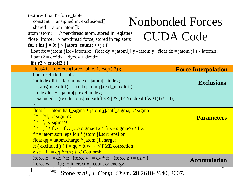| texture <float4>force_table;<br/>constant<sub>—</sub> unsigned int exclusions[];<br/><math>\text{hared}\_\text{atom}</math> atom jatom[];</float4> | <b>Nonbonded Forces</b>    |  |  |  |
|----------------------------------------------------------------------------------------------------------------------------------------------------|----------------------------|--|--|--|
| // per-thread atom, stored in registers<br>atom <i>iatom</i> ;                                                                                     |                            |  |  |  |
| <b>CUDA Code</b><br>float4 if orce; // per-thread force, stored in registers                                                                       |                            |  |  |  |
| for ( int j = 0; j < jatom_count; $++j$ ) {                                                                                                        |                            |  |  |  |
| float $dx = jatom[j].x - iatom.x;$ float $dy = jatom[j].y - iatom.y;$ float $dz = jatom[j].z - iatom.z;$                                           |                            |  |  |  |
| float $r2 = dx * dx + dy * dy + dz * dz$ ;                                                                                                         |                            |  |  |  |
| <u>if (r2 &lt; cutoff2) {</u>                                                                                                                      |                            |  |  |  |
| float4 ft = texfetch(force_table, $1.f/\sqrt{sqrt(r2)}$ );                                                                                         | <b>Force Interpolation</b> |  |  |  |
| bool excluded $=$ false;<br>int index diff $=$ iatom.index - jatom[j].index;                                                                       |                            |  |  |  |
| if ( $abs(indexdiff) \leq (int) jatom[j].excl_maxdiff$ ) {                                                                                         | <b>Exclusions</b>          |  |  |  |
| $indexdiff += jatom[j].excl_index;$                                                                                                                |                            |  |  |  |
| excluded = $((exclusions[indexdiff>>5] & (1 << (indexdiff&31))) = 0);$                                                                             |                            |  |  |  |
|                                                                                                                                                    |                            |  |  |  |
| float $f = iatom.half\_sigma + jatom[j].half\_sigma;$ // sigma                                                                                     |                            |  |  |  |
| $f^* = f^*f$ ; // sigma^3                                                                                                                          | <b>Parameters</b>          |  |  |  |
| $f^* = f$ ; // sigma^6                                                                                                                             |                            |  |  |  |
| $f^* = (f * ft.x + ft.y);$ // sigma^12 * fi.x - sigma^6 * fi.y                                                                                     |                            |  |  |  |
| $f^*$ = iatom.sqrt_epsilon * jatom[j].sqrt_epsilon;                                                                                                |                            |  |  |  |
| float $qq = iatom.charge * jatom[j].charge;$                                                                                                       |                            |  |  |  |
| if (excluded) { $f = qq * ft.w;$ } // PME correction                                                                                               |                            |  |  |  |
| else { $f \neq qq * ft.z;$ } // Coulomb                                                                                                            |                            |  |  |  |
| iforce.x += $dx * f$ ; iforce.y += $dy * f$ ; iforce.z += $dz * f$ ;                                                                               | <b>Accumulation</b>        |  |  |  |
| iforce.w $+= 1.f$ ; // interaction count or energy                                                                                                 | ∠د                         |  |  |  |
| Augus<br>Stone et al., J. Comp. Chem. 28:2618-2640, 2007.                                                                                          |                            |  |  |  |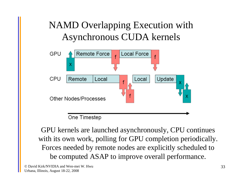### NAMD Overlapping Execution with Asynchronous CUDA kernels



GPU kernels are launched asynchronously, CPU continues with its own work, polling for GPU completion periodically. Forces needed by remote nodes are explicitly scheduled to be computed ASAP to improve overall performance.

© David Kirk/NVIDIA and Wen-mei W. HwuUrbana, Illinois, August 18-22, 2008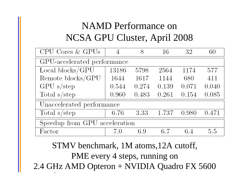### NAMD Performance on NCSA GPU Cluster, April 2008

| CPU Cores & GPUs              | 4     | 8     | 16    | 32    | 60    |  |
|-------------------------------|-------|-------|-------|-------|-------|--|
| GPU-accelerated performance   |       |       |       |       |       |  |
| Local blocks/GPU              | 13186 | 5798  | 2564  | 1174  | 577   |  |
| Remote blocks/GPU             | 1644  | 1617  | 1144  | 680   | 411   |  |
| $GPU$ s/step                  | 0.544 | 0.274 | 0.139 | 0.071 | 0.040 |  |
| Total s/step                  | 0.960 | 0.483 | 0.261 | 0.154 | 0.085 |  |
| Unaccelerated performance     |       |       |       |       |       |  |
| Total $s$ /step               | 6.76  | 3.33  | 1.737 | 0.980 | 0.471 |  |
| Speedup from GPU acceleration |       |       |       |       |       |  |
| Factor                        | 7.0   | 6.9   | 6.7   | 6.4   | 5.5   |  |

2.4 GHz AMD Opteron + NVIDIA Quadro FX 5600 STMV benchmark, 1M atoms,12A cutoff, PME every 4 steps, running on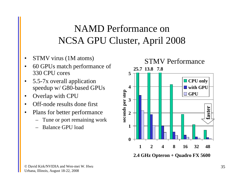### NAMD Performance on NCSA GPU Cluster, April 2008

- •STMV virus (1M atoms)
- • 60 GPUs match performance of 330 CPU cores
- • 5.5-7x overall application speedup w/ G80-based GPUs
- •Overlap with CPU
- •Off-node results done first
- • Plans for better performance
	- Tune or port remaining work
	- Balance GPU load



**2.4 GHz Opteron + Quadro FX 5600**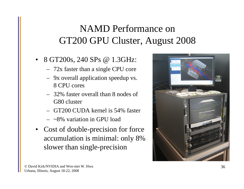### NAMD Performance on GT200 GPU Cluster, August 2008

- 8 GT200s, 240 SPs @ 1.3GHz:
	- 72x faster than a single CPU core
	- 9x overall application speedup vs. 8 CPU cores
	- 32% faster overall than 8 nodes of G80 cluster
	- GT200 CUDA kernel is 54% faster
	- ~8% variation in GPU load
- Cost of double-precision for force accumulation is minimal: only 8% slower than single-precision

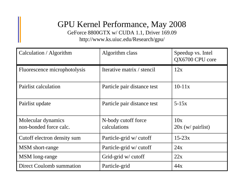#### GPU Kernel Performance, May 2008 GeForce 8800GTX w/ CUDA 1.1, Driver 169.09

http://www.ks.uiuc.edu/Research/gpu/

| Calculation / Algorithm                      | Algorithm class                     | Speedup vs. Intel<br>QX6700 CPU core |
|----------------------------------------------|-------------------------------------|--------------------------------------|
| Fluorescence microphotolysis                 | Iterative matrix / stencil          | 12x                                  |
| Pairlist calculation                         | Particle pair distance test         | $10-11x$                             |
| Pairlist update                              | Particle pair distance test         | $5-15x$                              |
| Molecular dynamics<br>non-bonded force calc. | N-body cutoff force<br>calculations | 10x<br>$20x (w/$ pairlist)           |
| Cutoff electron density sum                  | Particle-grid w/ cutoff             | $15-23x$                             |
| MSM short-range                              | Particle-grid w/ cutoff             | 24x                                  |
| MSM long-range                               | Grid-grid w/ cutoff                 | 22x                                  |
| Direct Coulomb summation                     | Particle-grid                       | 44x                                  |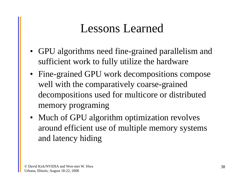### Lessons Learned

- GPU algorithms need fine-grained parallelism and sufficient work to fully utilize the hardware
- Fine-grained GPU work decompositions compose well with the comparatively coarse-grained decompositions used for multicore or distributed memory programing
- Much of GPU algorithm optimization revolves around efficient use of multiple memory systems and latency hiding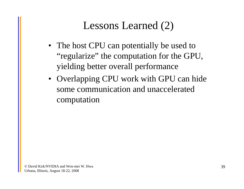### Lessons Learned (2)

- The host CPU can potentially be used to "regularize" the computation for the GPU, yielding better overall performance
- Overlapping CPU work with GPU can hide some communication and unacceleratedcomputation